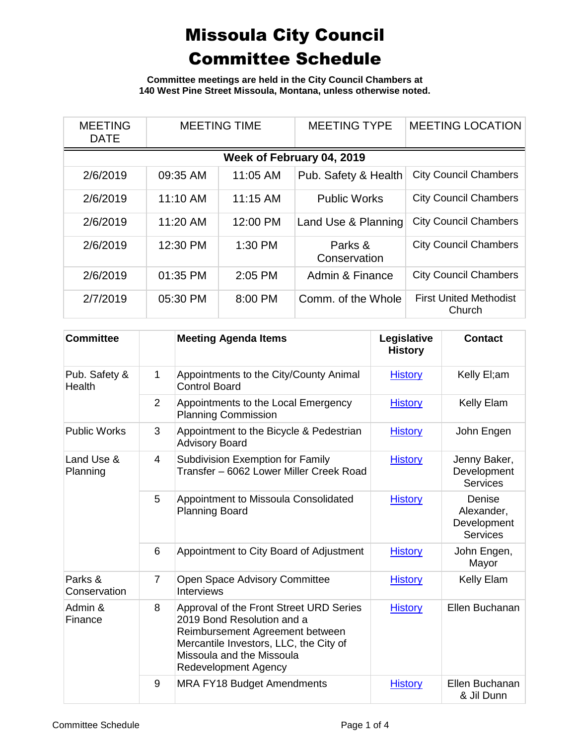**Committee meetings are held in the City Council Chambers at 140 West Pine Street Missoula, Montana, unless otherwise noted.**

| <b>MEETING</b><br><b>DATE</b> | <b>MEETING TIME</b> |          | <b>MEETING TYPE</b>     | <b>MEETING LOCATION</b>                 |  |  |  |  |
|-------------------------------|---------------------|----------|-------------------------|-----------------------------------------|--|--|--|--|
| Week of February 04, 2019     |                     |          |                         |                                         |  |  |  |  |
| 2/6/2019                      | 09:35 AM            | 11:05 AM | Pub. Safety & Health    | <b>City Council Chambers</b>            |  |  |  |  |
| 2/6/2019                      | 11:10 AM            | 11:15 AM | <b>Public Works</b>     | <b>City Council Chambers</b>            |  |  |  |  |
| 2/6/2019                      | 11:20 AM            | 12:00 PM | Land Use & Planning     | <b>City Council Chambers</b>            |  |  |  |  |
| 2/6/2019                      | 12:30 PM            | 1:30 PM  | Parks &<br>Conservation | <b>City Council Chambers</b>            |  |  |  |  |
| 2/6/2019                      | 01:35 PM            | 2:05 PM  | Admin & Finance         | <b>City Council Chambers</b>            |  |  |  |  |
| 2/7/2019                      | 05:30 PM            | 8:00 PM  | Comm. of the Whole      | <b>First United Methodist</b><br>Church |  |  |  |  |

| <b>Committee</b>        |                | <b>Meeting Agenda Items</b>                                                                                                                                                                                    | Legislative<br><b>History</b> | <b>Contact</b>                                         |
|-------------------------|----------------|----------------------------------------------------------------------------------------------------------------------------------------------------------------------------------------------------------------|-------------------------------|--------------------------------------------------------|
| Pub. Safety &<br>Health | 1              | Appointments to the City/County Animal<br><b>Control Board</b>                                                                                                                                                 | <b>History</b>                | Kelly El;am                                            |
|                         | 2              | Appointments to the Local Emergency<br><b>Planning Commission</b>                                                                                                                                              | <b>History</b>                | <b>Kelly Elam</b>                                      |
| <b>Public Works</b>     | 3              | Appointment to the Bicycle & Pedestrian<br><b>Advisory Board</b>                                                                                                                                               | <b>History</b>                | John Engen                                             |
| Land Use &<br>Planning  | $\overline{4}$ | <b>Subdivision Exemption for Family</b><br>Transfer – 6062 Lower Miller Creek Road                                                                                                                             | <b>History</b>                | Jenny Baker,<br>Development<br><b>Services</b>         |
|                         | 5              | Appointment to Missoula Consolidated<br><b>Planning Board</b>                                                                                                                                                  | <b>History</b>                | Denise<br>Alexander,<br>Development<br><b>Services</b> |
|                         | 6              | Appointment to City Board of Adjustment                                                                                                                                                                        | <b>History</b>                | John Engen,<br>Mayor                                   |
| Parks &<br>Conservation | $\overline{7}$ | Open Space Advisory Committee<br><b>Interviews</b>                                                                                                                                                             | <b>History</b>                | Kelly Elam                                             |
| Admin &<br>Finance      | 8              | Approval of the Front Street URD Series<br>2019 Bond Resolution and a<br>Reimbursement Agreement between<br>Mercantile Investors, LLC, the City of<br>Missoula and the Missoula<br><b>Redevelopment Agency</b> | <b>History</b>                | Ellen Buchanan                                         |
|                         | 9              | <b>MRA FY18 Budget Amendments</b>                                                                                                                                                                              | <b>History</b>                | Ellen Buchanan<br>& Jil Dunn                           |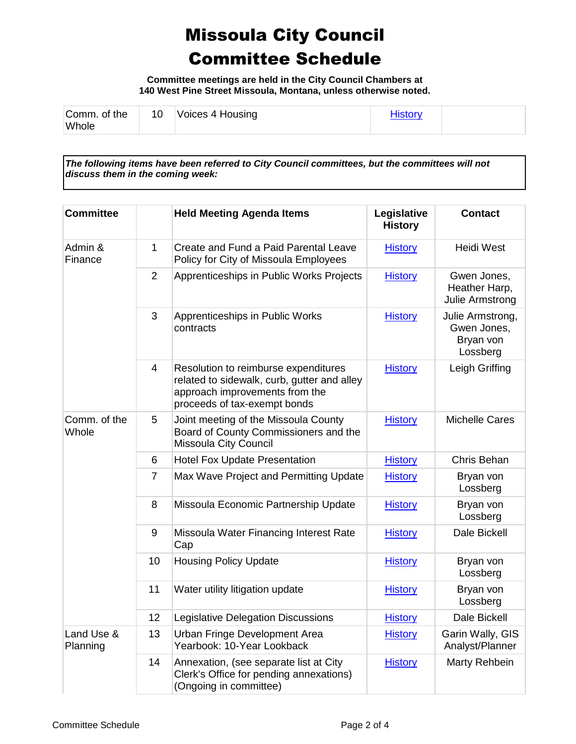**Committee meetings are held in the City Council Chambers at 140 West Pine Street Missoula, Montana, unless otherwise noted.**

| Comm. of the | 10 | Voices 4 Housing | <b>History</b> |  |
|--------------|----|------------------|----------------|--|
| Whole        |    |                  |                |  |

*The following items have been referred to City Council committees, but the committees will not discuss them in the coming week:*

| <b>Committee</b>       |                | <b>Held Meeting Agenda Items</b>                                                                                                                      | Legislative<br><b>History</b> | <b>Contact</b>                                           |
|------------------------|----------------|-------------------------------------------------------------------------------------------------------------------------------------------------------|-------------------------------|----------------------------------------------------------|
| Admin &<br>Finance     | 1              | Create and Fund a Paid Parental Leave<br>Policy for City of Missoula Employees                                                                        | <b>History</b>                | <b>Heidi West</b>                                        |
|                        | 2              | Apprenticeships in Public Works Projects                                                                                                              | <b>History</b>                | Gwen Jones,<br>Heather Harp,<br>Julie Armstrong          |
|                        | 3              | Apprenticeships in Public Works<br>contracts                                                                                                          | <b>History</b>                | Julie Armstrong,<br>Gwen Jones,<br>Bryan von<br>Lossberg |
|                        | 4              | Resolution to reimburse expenditures<br>related to sidewalk, curb, gutter and alley<br>approach improvements from the<br>proceeds of tax-exempt bonds | <b>History</b>                | Leigh Griffing                                           |
| Comm. of the<br>Whole  | 5              | Joint meeting of the Missoula County<br>Board of County Commissioners and the<br>Missoula City Council                                                | <b>History</b>                | <b>Michelle Cares</b>                                    |
|                        | 6              | <b>Hotel Fox Update Presentation</b>                                                                                                                  | <b>History</b>                | Chris Behan                                              |
|                        | $\overline{7}$ | Max Wave Project and Permitting Update                                                                                                                | <b>History</b>                | Bryan von<br>Lossberg                                    |
|                        | 8              | Missoula Economic Partnership Update                                                                                                                  | <b>History</b>                | Bryan von<br>Lossberg                                    |
|                        | 9              | Missoula Water Financing Interest Rate<br>Cap                                                                                                         | <b>History</b>                | Dale Bickell                                             |
|                        | 10             | <b>Housing Policy Update</b>                                                                                                                          | <b>History</b>                | Bryan von<br>Lossberg                                    |
|                        | 11             | Water utility litigation update                                                                                                                       | <b>History</b>                | Bryan von<br>Lossberg                                    |
|                        | 12             | Legislative Delegation Discussions                                                                                                                    | <b>History</b>                | Dale Bickell                                             |
| Land Use &<br>Planning | 13             | Urban Fringe Development Area<br>Yearbook: 10-Year Lookback                                                                                           | <b>History</b>                | Garin Wally, GIS<br>Analyst/Planner                      |
|                        | 14             | Annexation, (see separate list at City<br>Clerk's Office for pending annexations)<br>(Ongoing in committee)                                           | <b>History</b>                | Marty Rehbein                                            |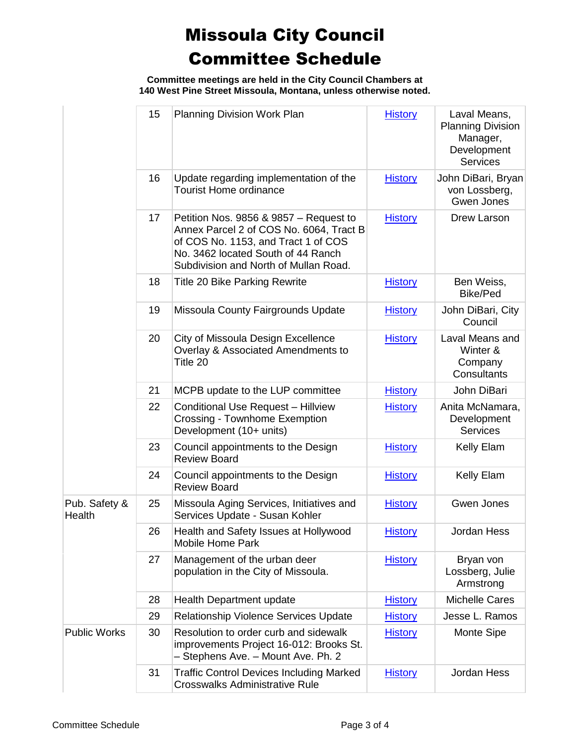**Committee meetings are held in the City Council Chambers at 140 West Pine Street Missoula, Montana, unless otherwise noted.**

|                         | 15 | Planning Division Work Plan                                                                                                                                                                             | <b>History</b> | Laval Means,<br><b>Planning Division</b><br>Manager,<br>Development<br><b>Services</b> |
|-------------------------|----|---------------------------------------------------------------------------------------------------------------------------------------------------------------------------------------------------------|----------------|----------------------------------------------------------------------------------------|
|                         | 16 | Update regarding implementation of the<br><b>Tourist Home ordinance</b>                                                                                                                                 | <b>History</b> | John DiBari, Bryan<br>von Lossberg,<br>Gwen Jones                                      |
|                         | 17 | Petition Nos. 9856 & 9857 - Request to<br>Annex Parcel 2 of COS No. 6064, Tract B<br>of COS No. 1153, and Tract 1 of COS<br>No. 3462 located South of 44 Ranch<br>Subdivision and North of Mullan Road. | <b>History</b> | Drew Larson                                                                            |
|                         | 18 | <b>Title 20 Bike Parking Rewrite</b>                                                                                                                                                                    | <b>History</b> | Ben Weiss,<br><b>Bike/Ped</b>                                                          |
|                         | 19 | Missoula County Fairgrounds Update                                                                                                                                                                      | <b>History</b> | John DiBari, City<br>Council                                                           |
|                         | 20 | City of Missoula Design Excellence<br>Overlay & Associated Amendments to<br>Title 20                                                                                                                    | <b>History</b> | Laval Means and<br>Winter &<br>Company<br>Consultants                                  |
|                         | 21 | MCPB update to the LUP committee                                                                                                                                                                        | <b>History</b> | John DiBari                                                                            |
|                         | 22 | <b>Conditional Use Request - Hillview</b><br><b>Crossing - Townhome Exemption</b><br>Development (10+ units)                                                                                            | <b>History</b> | Anita McNamara,<br>Development<br><b>Services</b>                                      |
|                         | 23 | Council appointments to the Design<br><b>Review Board</b>                                                                                                                                               | <b>History</b> | Kelly Elam                                                                             |
|                         | 24 | Council appointments to the Design<br><b>Review Board</b>                                                                                                                                               | <b>History</b> | Kelly Elam                                                                             |
| Pub. Safety &<br>Health | 25 | Missoula Aging Services, Initiatives and<br>Services Update - Susan Kohler                                                                                                                              | <b>History</b> | Gwen Jones                                                                             |
|                         | 26 | Health and Safety Issues at Hollywood<br><b>Mobile Home Park</b>                                                                                                                                        | <b>History</b> | Jordan Hess                                                                            |
|                         | 27 | Management of the urban deer<br>population in the City of Missoula.                                                                                                                                     | <b>History</b> | Bryan von<br>Lossberg, Julie<br>Armstrong                                              |
|                         | 28 | Health Department update                                                                                                                                                                                | <b>History</b> | <b>Michelle Cares</b>                                                                  |
|                         | 29 | <b>Relationship Violence Services Update</b>                                                                                                                                                            | <b>History</b> | Jesse L. Ramos                                                                         |
| <b>Public Works</b>     | 30 | Resolution to order curb and sidewalk<br>improvements Project 16-012: Brooks St.<br>- Stephens Ave. - Mount Ave. Ph. 2                                                                                  | <b>History</b> | Monte Sipe                                                                             |
|                         | 31 | <b>Traffic Control Devices Including Marked</b><br><b>Crosswalks Administrative Rule</b>                                                                                                                | <b>History</b> | Jordan Hess                                                                            |